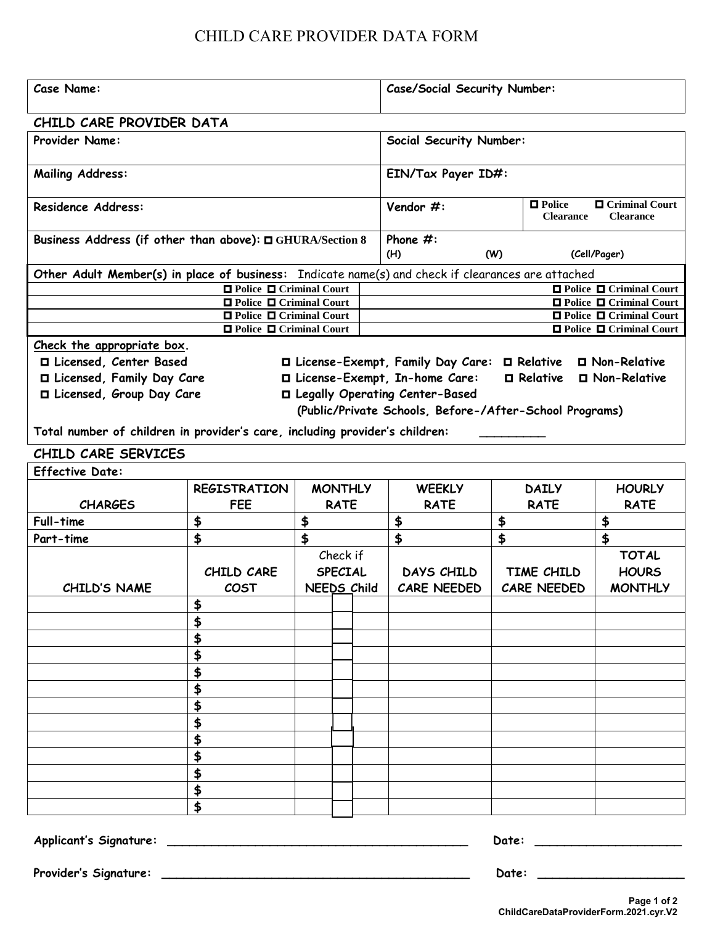## CHILD CARE PROVIDER DATA FORM

| CHILD CARE PROVIDER DATA<br><b>Provider Name:</b><br><b>Social Security Number:</b><br>EIN/Tax Payer ID#:<br><b>Mailing Address:</b><br>□ Criminal Court<br>$\blacksquare$ Police<br>Vendor #:<br>Residence Address:<br><b>Clearance</b><br><b>Clearance</b><br>Phone $#$ :<br>Business Address (if other than above): □ GHURA/Section 8<br>(H)<br>(Cell/Pager)<br>(W)<br>Other Adult Member(s) in place of business: Indicate name(s) and check if clearances are attached<br>$\Box$ Police $\Box$ Criminal Court<br>$\Box$ Police $\Box$ Criminal Court<br><b>O</b> Police <b>O</b> Criminal Court<br>□ Police □ Criminal Court<br>$\Box$ Police $\Box$ Criminal Court<br>□ Police □ Criminal Court<br>$\Box$ Police $\Box$ Criminal Court<br>□ Police □ Criminal Court<br>Check the appropriate box.<br>□ Licensed, Center Based<br>□ License-Exempt, Family Day Care: □ Relative<br>□ Non-Relative | <b>Case Name:</b> |  |                            |  |  | <b>Case/Social Security Number:</b> |  |  |  |  |
|--------------------------------------------------------------------------------------------------------------------------------------------------------------------------------------------------------------------------------------------------------------------------------------------------------------------------------------------------------------------------------------------------------------------------------------------------------------------------------------------------------------------------------------------------------------------------------------------------------------------------------------------------------------------------------------------------------------------------------------------------------------------------------------------------------------------------------------------------------------------------------------------------------|-------------------|--|----------------------------|--|--|-------------------------------------|--|--|--|--|
|                                                                                                                                                                                                                                                                                                                                                                                                                                                                                                                                                                                                                                                                                                                                                                                                                                                                                                        |                   |  |                            |  |  |                                     |  |  |  |  |
|                                                                                                                                                                                                                                                                                                                                                                                                                                                                                                                                                                                                                                                                                                                                                                                                                                                                                                        |                   |  |                            |  |  |                                     |  |  |  |  |
|                                                                                                                                                                                                                                                                                                                                                                                                                                                                                                                                                                                                                                                                                                                                                                                                                                                                                                        |                   |  |                            |  |  |                                     |  |  |  |  |
|                                                                                                                                                                                                                                                                                                                                                                                                                                                                                                                                                                                                                                                                                                                                                                                                                                                                                                        |                   |  |                            |  |  |                                     |  |  |  |  |
|                                                                                                                                                                                                                                                                                                                                                                                                                                                                                                                                                                                                                                                                                                                                                                                                                                                                                                        |                   |  |                            |  |  |                                     |  |  |  |  |
|                                                                                                                                                                                                                                                                                                                                                                                                                                                                                                                                                                                                                                                                                                                                                                                                                                                                                                        |                   |  |                            |  |  |                                     |  |  |  |  |
|                                                                                                                                                                                                                                                                                                                                                                                                                                                                                                                                                                                                                                                                                                                                                                                                                                                                                                        |                   |  |                            |  |  |                                     |  |  |  |  |
|                                                                                                                                                                                                                                                                                                                                                                                                                                                                                                                                                                                                                                                                                                                                                                                                                                                                                                        |                   |  |                            |  |  |                                     |  |  |  |  |
|                                                                                                                                                                                                                                                                                                                                                                                                                                                                                                                                                                                                                                                                                                                                                                                                                                                                                                        |                   |  |                            |  |  |                                     |  |  |  |  |
|                                                                                                                                                                                                                                                                                                                                                                                                                                                                                                                                                                                                                                                                                                                                                                                                                                                                                                        |                   |  |                            |  |  |                                     |  |  |  |  |
|                                                                                                                                                                                                                                                                                                                                                                                                                                                                                                                                                                                                                                                                                                                                                                                                                                                                                                        |                   |  |                            |  |  |                                     |  |  |  |  |
|                                                                                                                                                                                                                                                                                                                                                                                                                                                                                                                                                                                                                                                                                                                                                                                                                                                                                                        |                   |  |                            |  |  |                                     |  |  |  |  |
| □ Licensed, Family Day Care<br>□ License-Exempt, In-home Care:<br>$\Box$ Relative $\Box$ Non-Relative                                                                                                                                                                                                                                                                                                                                                                                                                                                                                                                                                                                                                                                                                                                                                                                                  |                   |  |                            |  |  |                                     |  |  |  |  |
| □ Licensed, Group Day Care<br>□ Legally Operating Center-Based                                                                                                                                                                                                                                                                                                                                                                                                                                                                                                                                                                                                                                                                                                                                                                                                                                         |                   |  |                            |  |  |                                     |  |  |  |  |
| (Public/Private Schools, Before-/After-School Programs)                                                                                                                                                                                                                                                                                                                                                                                                                                                                                                                                                                                                                                                                                                                                                                                                                                                |                   |  |                            |  |  |                                     |  |  |  |  |
| Total number of children in provider's care, including provider's children:                                                                                                                                                                                                                                                                                                                                                                                                                                                                                                                                                                                                                                                                                                                                                                                                                            |                   |  |                            |  |  |                                     |  |  |  |  |
| CHILD CARE SERVICES                                                                                                                                                                                                                                                                                                                                                                                                                                                                                                                                                                                                                                                                                                                                                                                                                                                                                    |                   |  |                            |  |  |                                     |  |  |  |  |
| <b>Effective Date:</b>                                                                                                                                                                                                                                                                                                                                                                                                                                                                                                                                                                                                                                                                                                                                                                                                                                                                                 |                   |  |                            |  |  |                                     |  |  |  |  |
| <b>MONTHLY</b><br><b>HOURLY</b><br><b>REGISTRATION</b><br><b>WEEKLY</b><br><b>DAILY</b>                                                                                                                                                                                                                                                                                                                                                                                                                                                                                                                                                                                                                                                                                                                                                                                                                |                   |  |                            |  |  |                                     |  |  |  |  |
| <b>CHARGES</b><br><b>FEE</b><br><b>RATE</b><br><b>RATE</b><br><b>RATE</b><br><b>RATE</b>                                                                                                                                                                                                                                                                                                                                                                                                                                                                                                                                                                                                                                                                                                                                                                                                               |                   |  |                            |  |  |                                     |  |  |  |  |
| \$<br>Full-time<br>\$<br>\$<br>\$<br>\$                                                                                                                                                                                                                                                                                                                                                                                                                                                                                                                                                                                                                                                                                                                                                                                                                                                                |                   |  |                            |  |  |                                     |  |  |  |  |
| $\blacklozenge$<br>\$<br>$\blacklozenge$<br>\$<br>$\frac{1}{2}$<br>Part-time                                                                                                                                                                                                                                                                                                                                                                                                                                                                                                                                                                                                                                                                                                                                                                                                                           |                   |  |                            |  |  |                                     |  |  |  |  |
| <b>TOTAL</b>                                                                                                                                                                                                                                                                                                                                                                                                                                                                                                                                                                                                                                                                                                                                                                                                                                                                                           |                   |  |                            |  |  |                                     |  |  |  |  |
| <b>DAYS CHILD</b>                                                                                                                                                                                                                                                                                                                                                                                                                                                                                                                                                                                                                                                                                                                                                                                                                                                                                      |                   |  | Check if<br><b>SPECIAL</b> |  |  |                                     |  |  |  |  |
| TIME CHILD<br><b>HOURS</b><br>CHILD CARE                                                                                                                                                                                                                                                                                                                                                                                                                                                                                                                                                                                                                                                                                                                                                                                                                                                               |                   |  |                            |  |  |                                     |  |  |  |  |
| <b>NEEDS Child</b><br><b>CARE NEEDED</b><br><b>CARE NEEDED</b><br><b>MONTHLY</b><br><b>CHILD'S NAME</b><br><b>COST</b>                                                                                                                                                                                                                                                                                                                                                                                                                                                                                                                                                                                                                                                                                                                                                                                 |                   |  |                            |  |  |                                     |  |  |  |  |
|                                                                                                                                                                                                                                                                                                                                                                                                                                                                                                                                                                                                                                                                                                                                                                                                                                                                                                        |                   |  |                            |  |  |                                     |  |  |  |  |
| \$                                                                                                                                                                                                                                                                                                                                                                                                                                                                                                                                                                                                                                                                                                                                                                                                                                                                                                     |                   |  |                            |  |  |                                     |  |  |  |  |
|                                                                                                                                                                                                                                                                                                                                                                                                                                                                                                                                                                                                                                                                                                                                                                                                                                                                                                        |                   |  |                            |  |  |                                     |  |  |  |  |
|                                                                                                                                                                                                                                                                                                                                                                                                                                                                                                                                                                                                                                                                                                                                                                                                                                                                                                        |                   |  |                            |  |  |                                     |  |  |  |  |
| \$                                                                                                                                                                                                                                                                                                                                                                                                                                                                                                                                                                                                                                                                                                                                                                                                                                                                                                     |                   |  |                            |  |  |                                     |  |  |  |  |
| \$                                                                                                                                                                                                                                                                                                                                                                                                                                                                                                                                                                                                                                                                                                                                                                                                                                                                                                     |                   |  |                            |  |  |                                     |  |  |  |  |
|                                                                                                                                                                                                                                                                                                                                                                                                                                                                                                                                                                                                                                                                                                                                                                                                                                                                                                        |                   |  |                            |  |  |                                     |  |  |  |  |
|                                                                                                                                                                                                                                                                                                                                                                                                                                                                                                                                                                                                                                                                                                                                                                                                                                                                                                        |                   |  |                            |  |  |                                     |  |  |  |  |
|                                                                                                                                                                                                                                                                                                                                                                                                                                                                                                                                                                                                                                                                                                                                                                                                                                                                                                        |                   |  |                            |  |  |                                     |  |  |  |  |
|                                                                                                                                                                                                                                                                                                                                                                                                                                                                                                                                                                                                                                                                                                                                                                                                                                                                                                        |                   |  |                            |  |  |                                     |  |  |  |  |
| \$                                                                                                                                                                                                                                                                                                                                                                                                                                                                                                                                                                                                                                                                                                                                                                                                                                                                                                     |                   |  |                            |  |  |                                     |  |  |  |  |
| \$                                                                                                                                                                                                                                                                                                                                                                                                                                                                                                                                                                                                                                                                                                                                                                                                                                                                                                     |                   |  |                            |  |  |                                     |  |  |  |  |
| \$                                                                                                                                                                                                                                                                                                                                                                                                                                                                                                                                                                                                                                                                                                                                                                                                                                                                                                     |                   |  |                            |  |  |                                     |  |  |  |  |

**Applicant's Signature: \_\_\_\_\_\_\_\_\_\_\_\_\_\_\_\_\_\_\_\_\_\_\_\_\_\_\_\_\_\_\_\_\_\_\_\_\_\_\_\_\_ Date: \_\_\_\_\_\_\_\_\_\_\_\_\_\_\_\_\_\_\_\_**

**Provider's Signature: \_\_\_\_\_\_\_\_\_\_\_\_\_\_\_\_\_\_\_\_\_\_\_\_\_\_\_\_\_\_\_\_\_\_\_\_\_\_\_\_\_\_ Date: \_\_\_\_\_\_\_\_\_\_\_\_\_\_\_\_\_\_\_\_**